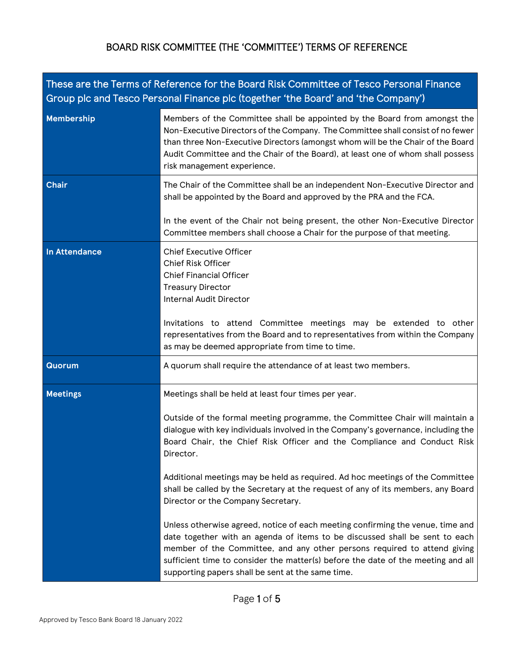| These are the Terms of Reference for the Board Risk Committee of Tesco Personal Finance<br>Group plc and Tesco Personal Finance plc (together 'the Board' and 'the Company') |                                                                                                                                                                                                                                                                                                                                                                                                                                                                                                                                                                                                                                                                                                                                                                                                                                                                                                                    |  |
|------------------------------------------------------------------------------------------------------------------------------------------------------------------------------|--------------------------------------------------------------------------------------------------------------------------------------------------------------------------------------------------------------------------------------------------------------------------------------------------------------------------------------------------------------------------------------------------------------------------------------------------------------------------------------------------------------------------------------------------------------------------------------------------------------------------------------------------------------------------------------------------------------------------------------------------------------------------------------------------------------------------------------------------------------------------------------------------------------------|--|
| <b>Membership</b>                                                                                                                                                            | Members of the Committee shall be appointed by the Board from amongst the<br>Non-Executive Directors of the Company. The Committee shall consist of no fewer<br>than three Non-Executive Directors (amongst whom will be the Chair of the Board<br>Audit Committee and the Chair of the Board), at least one of whom shall possess<br>risk management experience.                                                                                                                                                                                                                                                                                                                                                                                                                                                                                                                                                  |  |
| <b>Chair</b>                                                                                                                                                                 | The Chair of the Committee shall be an independent Non-Executive Director and<br>shall be appointed by the Board and approved by the PRA and the FCA.                                                                                                                                                                                                                                                                                                                                                                                                                                                                                                                                                                                                                                                                                                                                                              |  |
|                                                                                                                                                                              | In the event of the Chair not being present, the other Non-Executive Director<br>Committee members shall choose a Chair for the purpose of that meeting.                                                                                                                                                                                                                                                                                                                                                                                                                                                                                                                                                                                                                                                                                                                                                           |  |
| <b>In Attendance</b>                                                                                                                                                         | <b>Chief Executive Officer</b><br><b>Chief Risk Officer</b><br><b>Chief Financial Officer</b><br><b>Treasury Director</b><br><b>Internal Audit Director</b><br>Invitations to attend Committee meetings may be extended to other<br>representatives from the Board and to representatives from within the Company<br>as may be deemed appropriate from time to time.                                                                                                                                                                                                                                                                                                                                                                                                                                                                                                                                               |  |
| <b>Quorum</b>                                                                                                                                                                | A quorum shall require the attendance of at least two members.                                                                                                                                                                                                                                                                                                                                                                                                                                                                                                                                                                                                                                                                                                                                                                                                                                                     |  |
| <b>Meetings</b>                                                                                                                                                              | Meetings shall be held at least four times per year.<br>Outside of the formal meeting programme, the Committee Chair will maintain a<br>dialogue with key individuals involved in the Company's governance, including the<br>Board Chair, the Chief Risk Officer and the Compliance and Conduct Risk<br>Director.<br>Additional meetings may be held as required. Ad hoc meetings of the Committee<br>shall be called by the Secretary at the request of any of its members, any Board<br>Director or the Company Secretary.<br>Unless otherwise agreed, notice of each meeting confirming the venue, time and<br>date together with an agenda of items to be discussed shall be sent to each<br>member of the Committee, and any other persons required to attend giving<br>sufficient time to consider the matter(s) before the date of the meeting and all<br>supporting papers shall be sent at the same time. |  |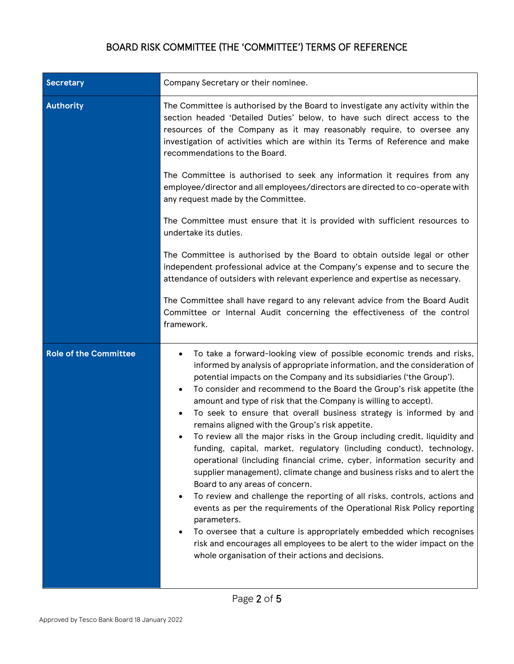| <b>Secretary</b>             | Company Secretary or their nominee.                                                                                                                                                                                                                                                                                                                                                                                                                                                                                                                                                                                                                                                                                                                                                                                                                                                                                                                                                                                                                                                                                                                                                                                                                                           |
|------------------------------|-------------------------------------------------------------------------------------------------------------------------------------------------------------------------------------------------------------------------------------------------------------------------------------------------------------------------------------------------------------------------------------------------------------------------------------------------------------------------------------------------------------------------------------------------------------------------------------------------------------------------------------------------------------------------------------------------------------------------------------------------------------------------------------------------------------------------------------------------------------------------------------------------------------------------------------------------------------------------------------------------------------------------------------------------------------------------------------------------------------------------------------------------------------------------------------------------------------------------------------------------------------------------------|
| <b>Authority</b>             | The Committee is authorised by the Board to investigate any activity within the<br>section headed 'Detailed Duties' below, to have such direct access to the<br>resources of the Company as it may reasonably require, to oversee any<br>investigation of activities which are within its Terms of Reference and make<br>recommendations to the Board.                                                                                                                                                                                                                                                                                                                                                                                                                                                                                                                                                                                                                                                                                                                                                                                                                                                                                                                        |
|                              | The Committee is authorised to seek any information it requires from any<br>employee/director and all employees/directors are directed to co-operate with<br>any request made by the Committee.                                                                                                                                                                                                                                                                                                                                                                                                                                                                                                                                                                                                                                                                                                                                                                                                                                                                                                                                                                                                                                                                               |
|                              | The Committee must ensure that it is provided with sufficient resources to<br>undertake its duties.                                                                                                                                                                                                                                                                                                                                                                                                                                                                                                                                                                                                                                                                                                                                                                                                                                                                                                                                                                                                                                                                                                                                                                           |
|                              | The Committee is authorised by the Board to obtain outside legal or other<br>independent professional advice at the Company's expense and to secure the<br>attendance of outsiders with relevant experience and expertise as necessary.                                                                                                                                                                                                                                                                                                                                                                                                                                                                                                                                                                                                                                                                                                                                                                                                                                                                                                                                                                                                                                       |
|                              | The Committee shall have regard to any relevant advice from the Board Audit<br>Committee or Internal Audit concerning the effectiveness of the control<br>framework.                                                                                                                                                                                                                                                                                                                                                                                                                                                                                                                                                                                                                                                                                                                                                                                                                                                                                                                                                                                                                                                                                                          |
| <b>Role of the Committee</b> | To take a forward-looking view of possible economic trends and risks,<br>$\bullet$<br>informed by analysis of appropriate information, and the consideration of<br>potential impacts on the Company and its subsidiaries ('the Group').<br>To consider and recommend to the Board the Group's risk appetite (the<br>$\bullet$<br>amount and type of risk that the Company is willing to accept).<br>To seek to ensure that overall business strategy is informed by and<br>$\bullet$<br>remains aligned with the Group's risk appetite.<br>To review all the major risks in the Group including credit, liquidity and<br>funding, capital, market, regulatory (including conduct), technology,<br>operational (including financial crime, cyber, information security and<br>supplier management), climate change and business risks and to alert the<br>Board to any areas of concern.<br>To review and challenge the reporting of all risks, controls, actions and<br>٠<br>events as per the requirements of the Operational Risk Policy reporting<br>parameters.<br>To oversee that a culture is appropriately embedded which recognises<br>risk and encourages all employees to be alert to the wider impact on the<br>whole organisation of their actions and decisions. |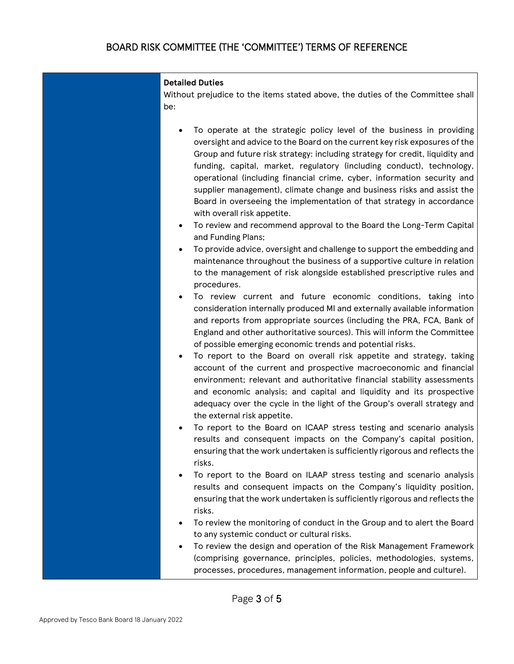#### **Detailed Duties**

Without prejudice to the items stated above, the duties of the Committee shall be:

- To operate at the strategic policy level of the business in providing oversight and advice to the Board on the current key risk exposures of the Group and future risk strategy: including strategy for credit, liquidity and funding, capital, market, regulatory (including conduct), technology, operational (including financial crime, cyber, information security and supplier management), climate change and business risks and assist the Board in overseeing the implementation of that strategy in accordance with overall risk appetite.
- To review and recommend approval to the Board the Long-Term Capital and Funding Plans;
- To provide advice, oversight and challenge to support the embedding and maintenance throughout the business of a supportive culture in relation to the management of risk alongside established prescriptive rules and procedures.
- To review current and future economic conditions, taking into consideration internally produced MI and externally available information and reports from appropriate sources (including the PRA, FCA, Bank of England and other authoritative sources). This will inform the Committee of possible emerging economic trends and potential risks.
- To report to the Board on overall risk appetite and strategy, taking account of the current and prospective macroeconomic and financial environment; relevant and authoritative financial stability assessments and economic analysis; and capital and liquidity and its prospective adequacy over the cycle in the light of the Group's overall strategy and the external risk appetite.
- To report to the Board on ICAAP stress testing and scenario analysis results and consequent impacts on the Company's capital position, ensuring that the work undertaken is sufficiently rigorous and reflects the risks.
- To report to the Board on ILAAP stress testing and scenario analysis results and consequent impacts on the Company's liquidity position, ensuring that the work undertaken is sufficiently rigorous and reflects the risks.
- To review the monitoring of conduct in the Group and to alert the Board to any systemic conduct or cultural risks.
- To review the design and operation of the Risk Management Framework (comprising governance, principles, policies, methodologies, systems, processes, procedures, management information, people and culture).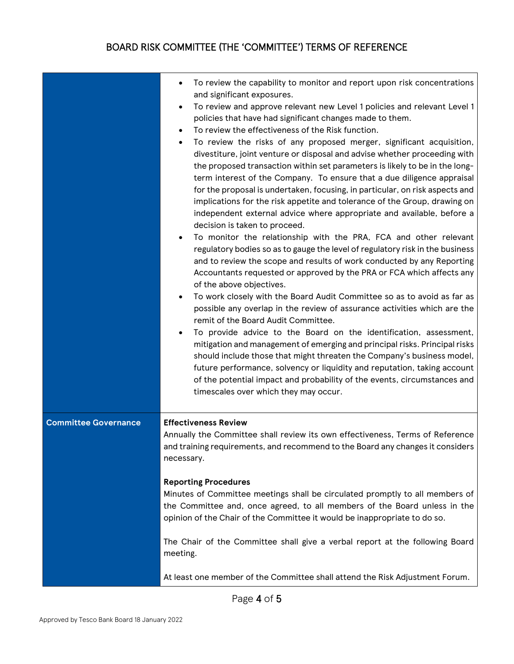|                             | To review the capability to monitor and report upon risk concentrations<br>and significant exposures.<br>To review and approve relevant new Level 1 policies and relevant Level 1<br>policies that have had significant changes made to them.<br>To review the effectiveness of the Risk function.<br>$\bullet$<br>To review the risks of any proposed merger, significant acquisition,<br>$\bullet$<br>divestiture, joint venture or disposal and advise whether proceeding with<br>the proposed transaction within set parameters is likely to be in the long-<br>term interest of the Company. To ensure that a due diligence appraisal<br>for the proposal is undertaken, focusing, in particular, on risk aspects and<br>implications for the risk appetite and tolerance of the Group, drawing on<br>independent external advice where appropriate and available, before a<br>decision is taken to proceed.<br>To monitor the relationship with the PRA, FCA and other relevant<br>regulatory bodies so as to gauge the level of regulatory risk in the business<br>and to review the scope and results of work conducted by any Reporting<br>Accountants requested or approved by the PRA or FCA which affects any<br>of the above objectives.<br>To work closely with the Board Audit Committee so as to avoid as far as<br>$\bullet$<br>possible any overlap in the review of assurance activities which are the<br>remit of the Board Audit Committee.<br>To provide advice to the Board on the identification, assessment,<br>$\bullet$<br>mitigation and management of emerging and principal risks. Principal risks<br>should include those that might threaten the Company's business model,<br>future performance, solvency or liquidity and reputation, taking account<br>of the potential impact and probability of the events, circumstances and<br>timescales over which they may occur. |
|-----------------------------|-------------------------------------------------------------------------------------------------------------------------------------------------------------------------------------------------------------------------------------------------------------------------------------------------------------------------------------------------------------------------------------------------------------------------------------------------------------------------------------------------------------------------------------------------------------------------------------------------------------------------------------------------------------------------------------------------------------------------------------------------------------------------------------------------------------------------------------------------------------------------------------------------------------------------------------------------------------------------------------------------------------------------------------------------------------------------------------------------------------------------------------------------------------------------------------------------------------------------------------------------------------------------------------------------------------------------------------------------------------------------------------------------------------------------------------------------------------------------------------------------------------------------------------------------------------------------------------------------------------------------------------------------------------------------------------------------------------------------------------------------------------------------------------------------------------------------------------------------------------------------------------------------------------|
| <b>Committee Governance</b> | <b>Effectiveness Review</b><br>Annually the Committee shall review its own effectiveness, Terms of Reference<br>and training requirements, and recommend to the Board any changes it considers<br>necessary.                                                                                                                                                                                                                                                                                                                                                                                                                                                                                                                                                                                                                                                                                                                                                                                                                                                                                                                                                                                                                                                                                                                                                                                                                                                                                                                                                                                                                                                                                                                                                                                                                                                                                                |
|                             | <b>Reporting Procedures</b><br>Minutes of Committee meetings shall be circulated promptly to all members of<br>the Committee and, once agreed, to all members of the Board unless in the<br>opinion of the Chair of the Committee it would be inappropriate to do so.                                                                                                                                                                                                                                                                                                                                                                                                                                                                                                                                                                                                                                                                                                                                                                                                                                                                                                                                                                                                                                                                                                                                                                                                                                                                                                                                                                                                                                                                                                                                                                                                                                       |
|                             | The Chair of the Committee shall give a verbal report at the following Board<br>meeting.                                                                                                                                                                                                                                                                                                                                                                                                                                                                                                                                                                                                                                                                                                                                                                                                                                                                                                                                                                                                                                                                                                                                                                                                                                                                                                                                                                                                                                                                                                                                                                                                                                                                                                                                                                                                                    |
|                             | At least one member of the Committee shall attend the Risk Adjustment Forum.                                                                                                                                                                                                                                                                                                                                                                                                                                                                                                                                                                                                                                                                                                                                                                                                                                                                                                                                                                                                                                                                                                                                                                                                                                                                                                                                                                                                                                                                                                                                                                                                                                                                                                                                                                                                                                |